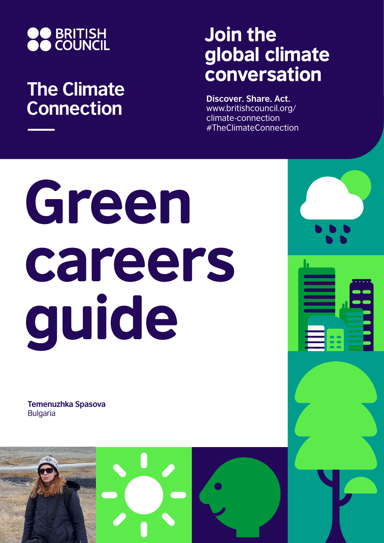

## **The Climate Connection**

## Join the global climate conversation

**Discover. Share. Act.** www.britishcouncil.org/ climate-connection #TheClimateConnection

# Green careers guide

**Temenuzhka Spasova** Bulgaria

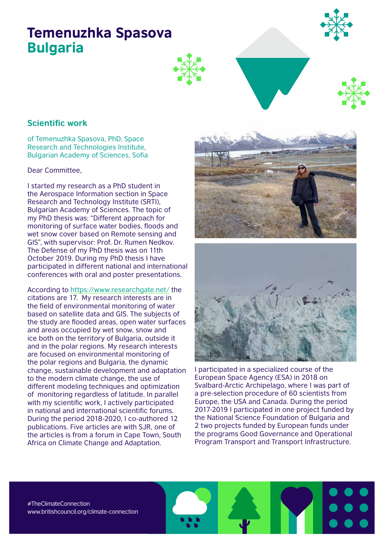### Temenuzhka Spasova Bulgaria





#### **Scientific work**

of Temenuzhka Spasova, PhD, Space Research and Technologies Institute, Bulgarian Academy of Sciences, Sofia

Dear Committee,

I started my research as a PhD student in the Aerospace Information section in Space Research and Technology Institute (SRTI), Bulgarian Academy of Sciences. The topic of my PhD thesis was: "Different approach for monitoring of surface water bodies, floods and wet snow cover based on Remote sensing and GIS", with supervisor: Prof. Dr. Rumen Nedkov. The Defense of my PhD thesis was on 11th October 2019. During my PhD thesis I have participated in different national and international conferences with oral and poster presentations.

According to https://www.researchgate.net/ the citations are 17. My research interests are in the field of environmental monitoring of water based on satellite data and GIS. The subjects of the study are flooded areas, open water surfaces and areas occupied by wet snow, snow and ice both on the territory of Bulgaria, outside it and in the polar regions. My research interests are focused on environmental monitoring of the polar regions and Bulgaria, the dynamic change, sustainable development and adaptation to the modern climate change, the use of different modeling techniques and optimization of monitoring regardless of latitude. In parallel with my scientific work, I actively participated in national and international scientific forums. During the period 2018-2020, I co-authored 12 publications. Five articles are with SJR, one of the articles is from a forum in Cape Town, South Africa on Climate Change and Adaptation.





I participated in a specialized course of the European Space Agency (ESA) in 2018 on Svalbard-Arctic Archipelago, where I was part of a pre-selection procedure of 60 scientists from Europe, the USA and Canada. During the period 2017-2019 I participated in one project funded by the National Science Foundation of Bulgaria and 2 two projects funded by European funds under the programs Good Governance and Operational Program Transport and Transport Infrastructure.

#TheClimateConnection www.britishcouncil.org/climate-connection